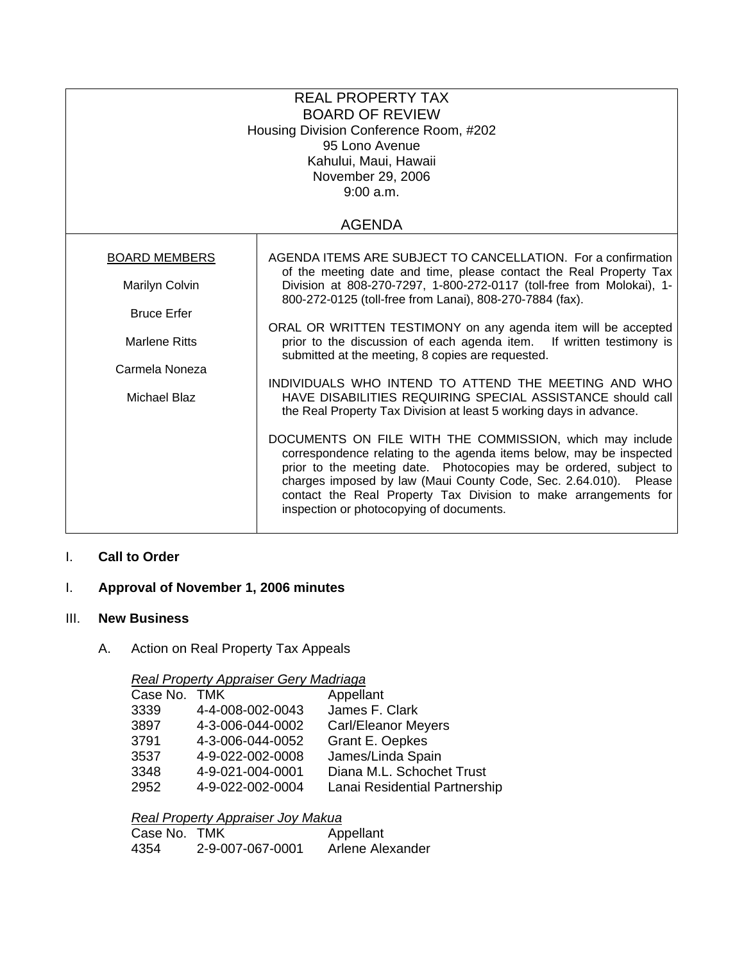| <b>REAL PROPERTY TAX</b><br><b>BOARD OF REVIEW</b><br>Housing Division Conference Room, #202<br>95 Lono Avenue<br>Kahului, Maui, Hawaii<br>November 29, 2006<br>9:00 a.m. |                                                                                                                                                                                                                                                                                                                                                                                         |  |  |
|---------------------------------------------------------------------------------------------------------------------------------------------------------------------------|-----------------------------------------------------------------------------------------------------------------------------------------------------------------------------------------------------------------------------------------------------------------------------------------------------------------------------------------------------------------------------------------|--|--|
| <b>AGENDA</b>                                                                                                                                                             |                                                                                                                                                                                                                                                                                                                                                                                         |  |  |
| <b>BOARD MEMBERS</b>                                                                                                                                                      | AGENDA ITEMS ARE SUBJECT TO CANCELLATION. For a confirmation                                                                                                                                                                                                                                                                                                                            |  |  |
| Marilyn Colvin                                                                                                                                                            | of the meeting date and time, please contact the Real Property Tax<br>Division at 808-270-7297, 1-800-272-0117 (toll-free from Molokai), 1-<br>800-272-0125 (toll-free from Lanai), 808-270-7884 (fax).                                                                                                                                                                                 |  |  |
| <b>Bruce Erfer</b>                                                                                                                                                        |                                                                                                                                                                                                                                                                                                                                                                                         |  |  |
| <b>Marlene Ritts</b>                                                                                                                                                      | ORAL OR WRITTEN TESTIMONY on any agenda item will be accepted<br>prior to the discussion of each agenda item. If written testimony is<br>submitted at the meeting, 8 copies are requested.                                                                                                                                                                                              |  |  |
| Carmela Noneza                                                                                                                                                            | INDIVIDUALS WHO INTEND TO ATTEND THE MEETING AND WHO                                                                                                                                                                                                                                                                                                                                    |  |  |
| Michael Blaz                                                                                                                                                              | HAVE DISABILITIES REQUIRING SPECIAL ASSISTANCE should call<br>the Real Property Tax Division at least 5 working days in advance.                                                                                                                                                                                                                                                        |  |  |
|                                                                                                                                                                           | DOCUMENTS ON FILE WITH THE COMMISSION, which may include<br>correspondence relating to the agenda items below, may be inspected<br>prior to the meeting date. Photocopies may be ordered, subject to<br>charges imposed by law (Maui County Code, Sec. 2.64.010). Please<br>contact the Real Property Tax Division to make arrangements for<br>inspection or photocopying of documents. |  |  |

# I. **Call to Order**

## I. **Approval of November 1, 2006 minutes**

### III. **New Business**

# A. Action on Real Property Tax Appeals

### *Real Property Appraiser Gery Madriaga*

|      | Case No. TMK |                  | Appellant                     |
|------|--------------|------------------|-------------------------------|
| 3339 |              | 4-4-008-002-0043 | James F. Clark                |
| 3897 |              | 4-3-006-044-0002 | <b>Carl/Eleanor Meyers</b>    |
| 3791 |              | 4-3-006-044-0052 | Grant E. Oepkes               |
| 3537 |              | 4-9-022-002-0008 | James/Linda Spain             |
| 3348 |              | 4-9-021-004-0001 | Diana M.L. Schochet Trust     |
| 2952 |              | 4-9-022-002-0004 | Lanai Residential Partnership |

# *Real Property Appraiser Joy Makua*

| Case No. TMK |                  | Appellant        |
|--------------|------------------|------------------|
| 4354         | 2-9-007-067-0001 | Arlene Alexander |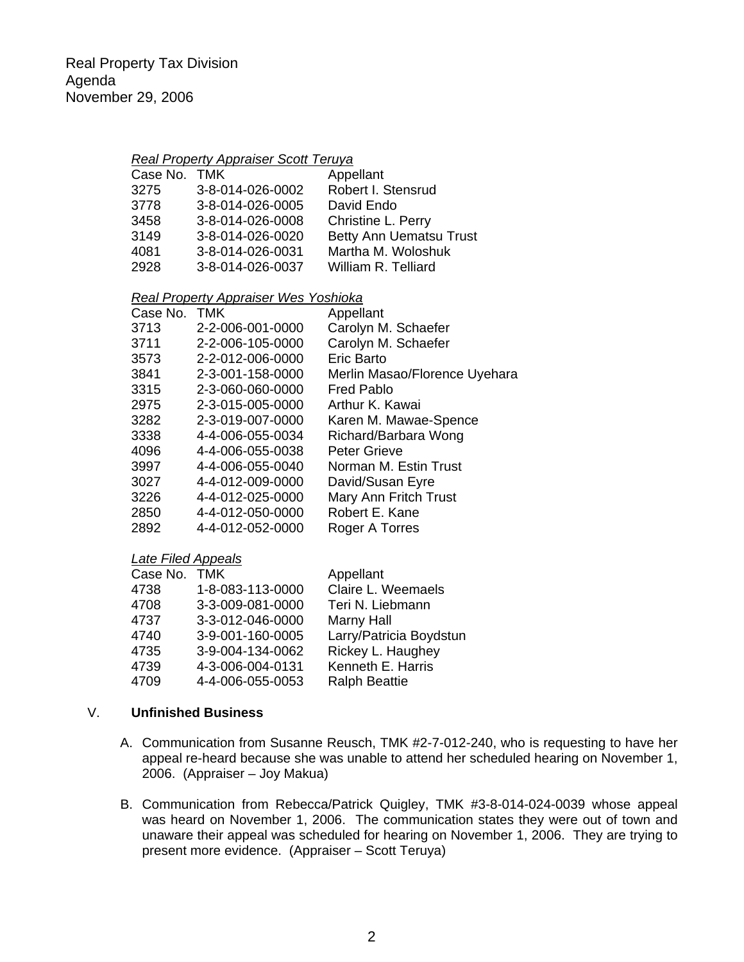### *Real Property Appraiser Scott Teruya*

| Robert I. Stensrud<br>3-8-014-026-0002<br>3275      |  |
|-----------------------------------------------------|--|
|                                                     |  |
| 3778<br>3-8-014-026-0005<br>David Endo              |  |
| 3458<br>3-8-014-026-0008<br>Christine L. Perry      |  |
| Betty Ann Uematsu Trust<br>3149<br>3-8-014-026-0020 |  |
| Martha M. Woloshuk<br>3-8-014-026-0031<br>4081      |  |
| 2928<br>3-8-014-026-0037<br>William R. Telliard     |  |

#### *Real Property Appraiser Wes Yoshioka*

| Case No. | <b>TMK</b>       | Appellant                     |
|----------|------------------|-------------------------------|
| 3713     | 2-2-006-001-0000 | Carolyn M. Schaefer           |
| 3711     | 2-2-006-105-0000 | Carolyn M. Schaefer           |
| 3573     | 2-2-012-006-0000 | Eric Barto                    |
| 3841     | 2-3-001-158-0000 | Merlin Masao/Florence Uyehara |
| 3315     | 2-3-060-060-0000 | <b>Fred Pablo</b>             |
| 2975     | 2-3-015-005-0000 | Arthur K. Kawai               |
| 3282     | 2-3-019-007-0000 | Karen M. Mawae-Spence         |
| 3338     | 4-4-006-055-0034 | Richard/Barbara Wong          |
| 4096     | 4-4-006-055-0038 | <b>Peter Grieve</b>           |
| 3997     | 4-4-006-055-0040 | Norman M. Estin Trust         |
| 3027     | 4-4-012-009-0000 | David/Susan Eyre              |
| 3226     | 4-4-012-025-0000 | Mary Ann Fritch Trust         |
| 2850     | 4-4-012-050-0000 | Robert E. Kane                |
| 2892     | 4-4-012-052-0000 | Roger A Torres                |

#### *Late Filed Appeals*

| Case No. TMK |                  | Appellant               |
|--------------|------------------|-------------------------|
| 4738         | 1-8-083-113-0000 | Claire L. Weemaels      |
| 4708         | 3-3-009-081-0000 | Teri N. Liebmann        |
| 4737         | 3-3-012-046-0000 | Marny Hall              |
| 4740         | 3-9-001-160-0005 | Larry/Patricia Boydstun |
| 4735         | 3-9-004-134-0062 | Rickey L. Haughey       |
| 4739         | 4-3-006-004-0131 | Kenneth E. Harris       |
| 4709         | 4-4-006-055-0053 | <b>Ralph Beattie</b>    |

#### V. **Unfinished Business**

- A. Communication from Susanne Reusch, TMK #2-7-012-240, who is requesting to have her appeal re-heard because she was unable to attend her scheduled hearing on November 1, 2006. (Appraiser – Joy Makua)
- B. Communication from Rebecca/Patrick Quigley, TMK #3-8-014-024-0039 whose appeal was heard on November 1, 2006. The communication states they were out of town and unaware their appeal was scheduled for hearing on November 1, 2006. They are trying to present more evidence. (Appraiser – Scott Teruya)